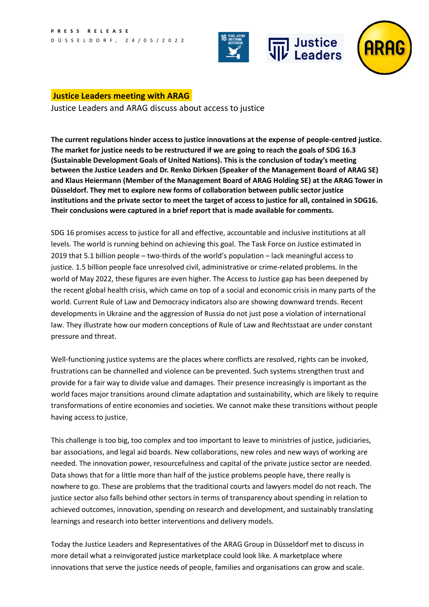



## **Justice Leaders meeting with ARAG**

Justice Leaders and ARAG discuss about access to justice

**The current regulations hinder access to justice innovations at the expense of people-centred justice. The market for justice needs to be restructured if we are going to reach the goals of SDG 16.3 (Sustainable Development Goals of United Nations). This is the conclusion of today's meeting between the Justice Leaders and Dr. Renko Dirksen (Speaker of the Management Board of ARAG SE) and Klaus Heiermann (Member of the Management Board of ARAG Holding SE) at the ARAG Tower in Düsseldorf. They met to explore new forms of collaboration between public sector justice institutions and the private sector to meet the target of access to justice for all, contained in SDG16. Their conclusions were captured in a brief report that is made available for comments.**

SDG 16 promises access to justice for all and effective, accountable and inclusive institutions at all levels. The world is running behind on achieving this goal. [The Task Force on Justice](https://www.justice.sdg16.plus/report-old2022) estimated in 2019 that 5.1 billion people – two-thirds of the world's population – lack meaningful access to justice. 1.5 billion people face unresolved civil, administrative or crime-related problems. In the world of May 2022, these figures are even higher. The Access to Justice gap has been deepened by the recent global health crisis, which came on top of a social and economic crisis in many parts of the world. Current Rule of Law and Democracy indicators also are showing downward trends. Recent developments in Ukraine and the aggression of Russia do not just pose a violation of international law. They illustrate how our modern conceptions of Rule of Law and Rechtsstaat are under constant pressure and threat.

Well-functioning justice systems are the places where conflicts are resolved, rights can be invoked, frustrations can be channelled and violence can be prevented. Such systems strengthen trust and provide for a fair way to divide value and damages. Their presence increasingly is important as the world faces major transitions around climate adaptation and sustainability, which are likely to require transformations of entire economies and societies. We cannot make these transitions without people having access to justice.

This challenge is too big, too complex and too important to leave to ministries of justice, judiciaries, bar associations, and legal aid boards. New collaborations, new roles and new ways of working are needed. The innovation power, resourcefulness and capital of the private justice sector are needed. Data shows that for a little more than half of the justice problems people have, there really is nowhere to go. These are problems that the traditional courts and lawyers model do not reach. The justice sector also falls behind other sectors in terms of transparency about spending in relation to achieved outcomes, innovation, spending on research and development, and sustainably translating learnings and research into better interventions and delivery models.

Today the Justice Leaders and Representatives of the ARAG Group in Düsseldorf met to discuss in more detail what a reinvigorated justice marketplace could look like. A marketplace where innovations that serve the justice needs of people, families and organisations can grow and scale.